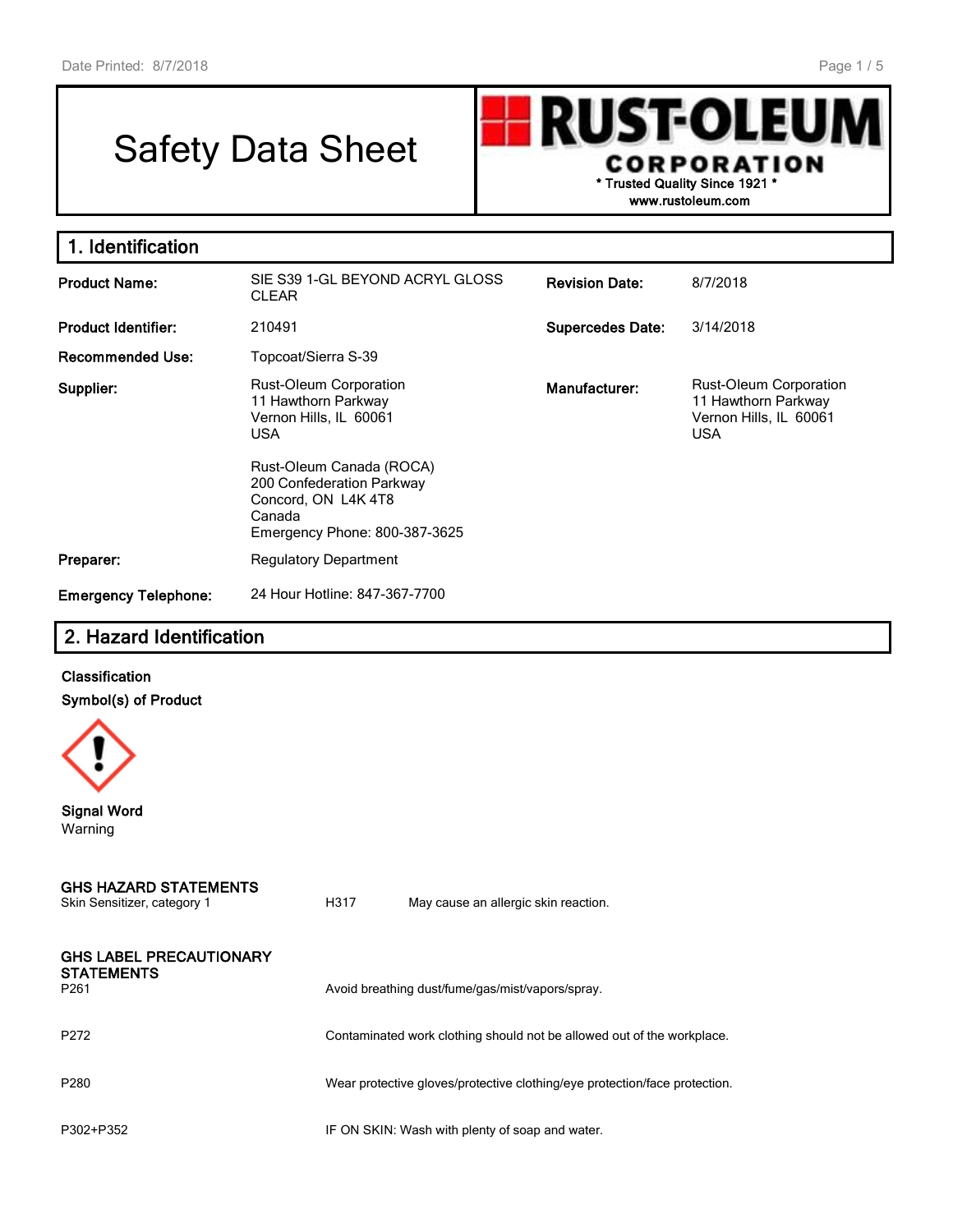# Safety Data Sheet

**RUST-OLEU** I **CORPORATION \* Trusted Quality Since 1921 \***

**www.rustoleum.com**

| 1. Identification           |                                                                                                                         |                         |                                                                                              |
|-----------------------------|-------------------------------------------------------------------------------------------------------------------------|-------------------------|----------------------------------------------------------------------------------------------|
| <b>Product Name:</b>        | SIE S39 1-GL BEYOND ACRYL GLOSS<br><b>CLEAR</b>                                                                         | <b>Revision Date:</b>   | 8/7/2018                                                                                     |
| <b>Product Identifier:</b>  | 210491                                                                                                                  | <b>Supercedes Date:</b> | 3/14/2018                                                                                    |
| <b>Recommended Use:</b>     | Topcoat/Sierra S-39                                                                                                     |                         |                                                                                              |
| Supplier:                   | Rust-Oleum Corporation<br>11 Hawthorn Parkway<br>Vernon Hills, IL 60061<br><b>USA</b>                                   | Manufacturer:           | <b>Rust-Oleum Corporation</b><br>11 Hawthorn Parkway<br>Vernon Hills, IL 60061<br><b>USA</b> |
|                             | Rust-Oleum Canada (ROCA)<br>200 Confederation Parkway<br>Concord, ON L4K 4T8<br>Canada<br>Emergency Phone: 800-387-3625 |                         |                                                                                              |
| Preparer:                   | <b>Regulatory Department</b>                                                                                            |                         |                                                                                              |
| <b>Emergency Telephone:</b> | 24 Hour Hotline: 847-367-7700                                                                                           |                         |                                                                                              |

# **2. Hazard Identification**

## **Classification Symbol(s) of Product**



**Signal Word** Warning

|               | <b>GHS HAZARD STATEMENTS</b> |  |
|---------------|------------------------------|--|
| $\sim$ $\sim$ |                              |  |

| UNIT OCHORLOF, CALCOUTY |  |  |
|-------------------------|--|--|
|                         |  |  |
|                         |  |  |

Skin Sensitizer, category 1 **H317** May cause an allergic skin reaction.

| <b>GHS LABEL PRECAUTIONARY</b>        |                                                                            |
|---------------------------------------|----------------------------------------------------------------------------|
| <b>STATEMENTS</b><br>P <sub>261</sub> | Avoid breathing dust/fume/gas/mist/vapors/spray.                           |
| P272                                  | Contaminated work clothing should not be allowed out of the workplace.     |
| P280                                  | Wear protective gloves/protective clothing/eye protection/face protection. |
| P302+P352                             | IF ON SKIN: Wash with plenty of soap and water.                            |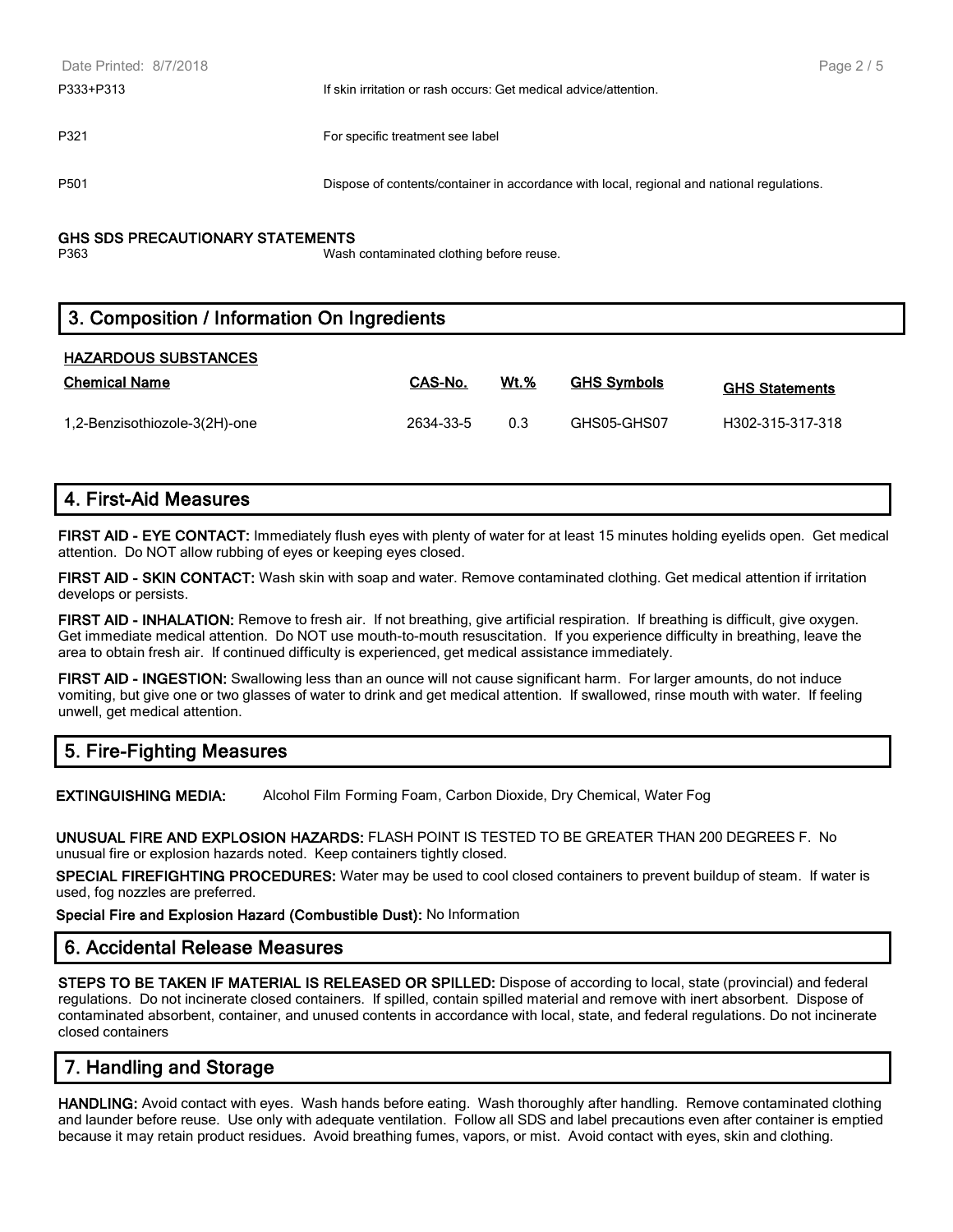| Date Printed: 8/7/2018 |                                                                                            | Page 2/5 |
|------------------------|--------------------------------------------------------------------------------------------|----------|
| P333+P313              | If skin irritation or rash occurs: Get medical advice/attention.                           |          |
|                        |                                                                                            |          |
| P321                   | For specific treatment see label                                                           |          |
|                        |                                                                                            |          |
| P501                   | Dispose of contents/container in accordance with local, regional and national regulations. |          |
|                        |                                                                                            |          |

#### **GHS SDS PRECAUTIONARY STATEMENTS**

P363 Wash contaminated clothing before reuse.

# **3. Composition / Information On Ingredients**

#### **HAZARDOUS SUBSTANCES**

| <b>Chemical Name</b>          | CAS-No.   | $Wt.$ % | <b>GHS Symbols</b> | <b>GHS Statements</b> |
|-------------------------------|-----------|---------|--------------------|-----------------------|
| 1,2-Benzisothiozole-3(2H)-one | 2634-33-5 | 0.3     | GHS05-GHS07        | H302-315-317-318      |

## **4. First-Aid Measures**

**FIRST AID - EYE CONTACT:** Immediately flush eyes with plenty of water for at least 15 minutes holding eyelids open. Get medical attention. Do NOT allow rubbing of eyes or keeping eyes closed.

**FIRST AID - SKIN CONTACT:** Wash skin with soap and water. Remove contaminated clothing. Get medical attention if irritation develops or persists.

**FIRST AID - INHALATION:** Remove to fresh air. If not breathing, give artificial respiration. If breathing is difficult, give oxygen. Get immediate medical attention. Do NOT use mouth-to-mouth resuscitation. If you experience difficulty in breathing, leave the area to obtain fresh air. If continued difficulty is experienced, get medical assistance immediately.

**FIRST AID - INGESTION:** Swallowing less than an ounce will not cause significant harm. For larger amounts, do not induce vomiting, but give one or two glasses of water to drink and get medical attention. If swallowed, rinse mouth with water. If feeling unwell, get medical attention.

# **5. Fire-Fighting Measures**

**EXTINGUISHING MEDIA:** Alcohol Film Forming Foam, Carbon Dioxide, Dry Chemical, Water Fog

**UNUSUAL FIRE AND EXPLOSION HAZARDS:** FLASH POINT IS TESTED TO BE GREATER THAN 200 DEGREES F. No unusual fire or explosion hazards noted. Keep containers tightly closed.

**SPECIAL FIREFIGHTING PROCEDURES:** Water may be used to cool closed containers to prevent buildup of steam. If water is used, fog nozzles are preferred.

**Special Fire and Explosion Hazard (Combustible Dust):** No Information

#### **6. Accidental Release Measures**

**STEPS TO BE TAKEN IF MATERIAL IS RELEASED OR SPILLED:** Dispose of according to local, state (provincial) and federal regulations. Do not incinerate closed containers. If spilled, contain spilled material and remove with inert absorbent. Dispose of contaminated absorbent, container, and unused contents in accordance with local, state, and federal regulations. Do not incinerate closed containers

# **7. Handling and Storage**

**HANDLING:** Avoid contact with eyes. Wash hands before eating. Wash thoroughly after handling. Remove contaminated clothing and launder before reuse. Use only with adequate ventilation. Follow all SDS and label precautions even after container is emptied because it may retain product residues. Avoid breathing fumes, vapors, or mist. Avoid contact with eyes, skin and clothing.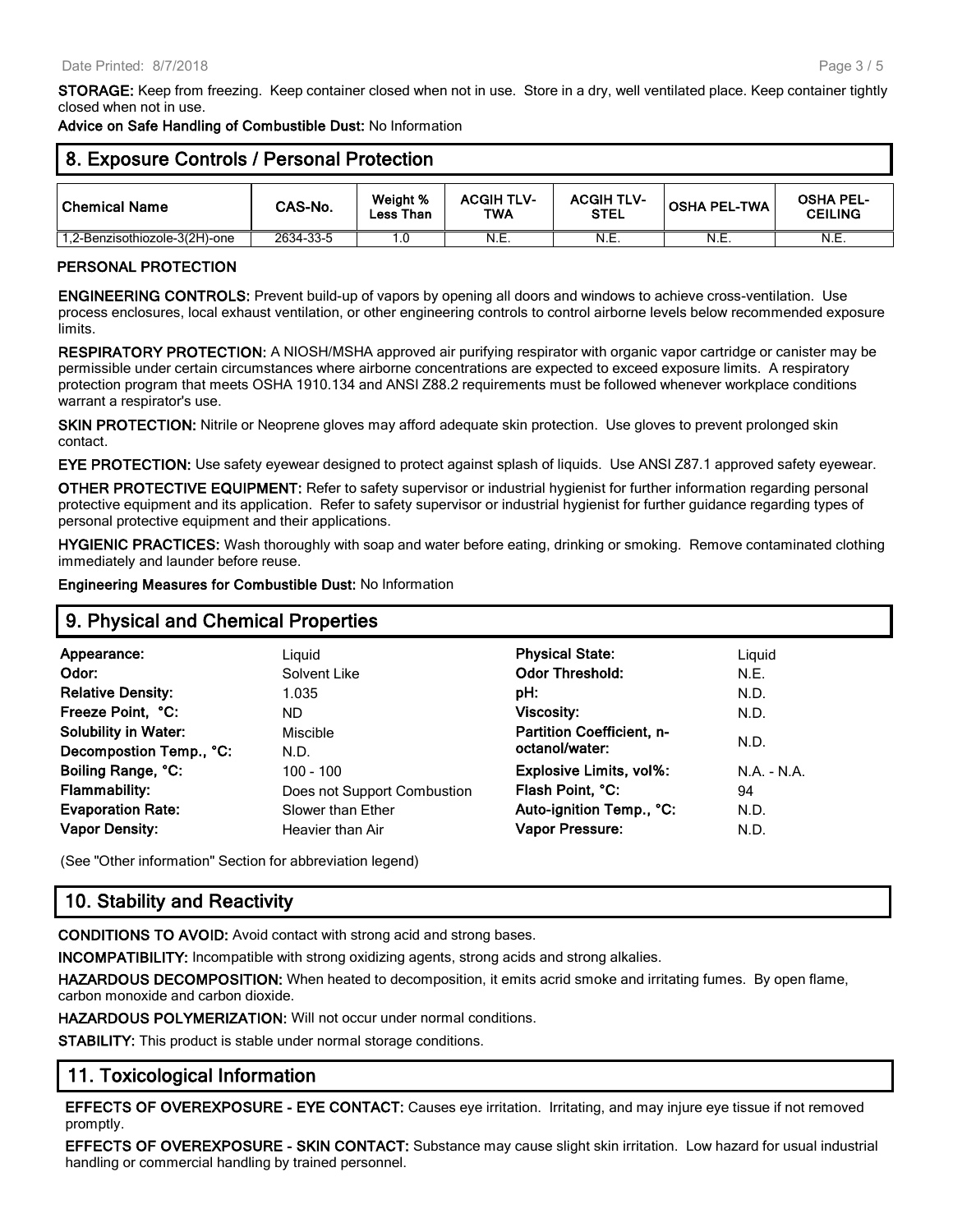**Advice on Safe Handling of Combustible Dust:** No Information

| 8. Exposure Controls / Personal Protection |           |                       |                          |                                  |                     |                                    |
|--------------------------------------------|-----------|-----------------------|--------------------------|----------------------------------|---------------------|------------------------------------|
| Chemical Name                              | CAS-No.   | Weight %<br>Less Than | <b>ACGIH TLV-</b><br>TWA | <b>ACGIH TLV-</b><br><b>STEL</b> | <b>OSHA PEL-TWA</b> | <b>OSHA PEL-</b><br><b>CEILING</b> |
| 1,2-Benzisothiozole-3(2H)-one              | 2634-33-5 | ۱.٥                   | N.E.                     | N.E.                             | N.E.                | N.E.                               |

#### **PERSONAL PROTECTION**

**ENGINEERING CONTROLS:** Prevent build-up of vapors by opening all doors and windows to achieve cross-ventilation. Use process enclosures, local exhaust ventilation, or other engineering controls to control airborne levels below recommended exposure limits.

**RESPIRATORY PROTECTION:** A NIOSH/MSHA approved air purifying respirator with organic vapor cartridge or canister may be permissible under certain circumstances where airborne concentrations are expected to exceed exposure limits. A respiratory protection program that meets OSHA 1910.134 and ANSI Z88.2 requirements must be followed whenever workplace conditions warrant a respirator's use.

**SKIN PROTECTION:** Nitrile or Neoprene gloves may afford adequate skin protection. Use gloves to prevent prolonged skin contact.

**EYE PROTECTION:** Use safety eyewear designed to protect against splash of liquids. Use ANSI Z87.1 approved safety eyewear.

**OTHER PROTECTIVE EQUIPMENT:** Refer to safety supervisor or industrial hygienist for further information regarding personal protective equipment and its application. Refer to safety supervisor or industrial hygienist for further guidance regarding types of personal protective equipment and their applications.

**HYGIENIC PRACTICES:** Wash thoroughly with soap and water before eating, drinking or smoking. Remove contaminated clothing immediately and launder before reuse.

**Engineering Measures for Combustible Dust:** No Information

### **9. Physical and Chemical Properties**

| Appearance:                 | Liguid                      | <b>Physical State:</b>           | Liguid        |
|-----------------------------|-----------------------------|----------------------------------|---------------|
| Odor:                       | Solvent Like                | <b>Odor Threshold:</b>           | N.E.          |
| <b>Relative Density:</b>    | 1.035                       | pH:                              | N.D.          |
| Freeze Point, °C:           | ND.                         | <b>Viscosity:</b>                | N.D.          |
| <b>Solubility in Water:</b> | Miscible                    | <b>Partition Coefficient, n-</b> |               |
| Decompostion Temp., °C:     | N.D.                        | octanol/water:                   | N.D.          |
| Boiling Range, °C:          | $100 - 100$                 | Explosive Limits, vol%:          | $N.A. - N.A.$ |
| <b>Flammability:</b>        | Does not Support Combustion | Flash Point, °C:                 | 94            |
| <b>Evaporation Rate:</b>    | Slower than Ether           | Auto-ignition Temp., °C:         | N.D.          |
| <b>Vapor Density:</b>       | Heavier than Air            | <b>Vapor Pressure:</b>           | N.D.          |
|                             |                             |                                  |               |

(See "Other information" Section for abbreviation legend)

# **10. Stability and Reactivity**

**CONDITIONS TO AVOID:** Avoid contact with strong acid and strong bases.

**INCOMPATIBILITY:** Incompatible with strong oxidizing agents, strong acids and strong alkalies.

**HAZARDOUS DECOMPOSITION:** When heated to decomposition, it emits acrid smoke and irritating fumes. By open flame, carbon monoxide and carbon dioxide.

**HAZARDOUS POLYMERIZATION:** Will not occur under normal conditions.

**STABILITY:** This product is stable under normal storage conditions.

## **11. Toxicological Information**

**EFFECTS OF OVEREXPOSURE - EYE CONTACT:** Causes eye irritation. Irritating, and may injure eye tissue if not removed promptly.

**EFFECTS OF OVEREXPOSURE - SKIN CONTACT:** Substance may cause slight skin irritation. Low hazard for usual industrial handling or commercial handling by trained personnel.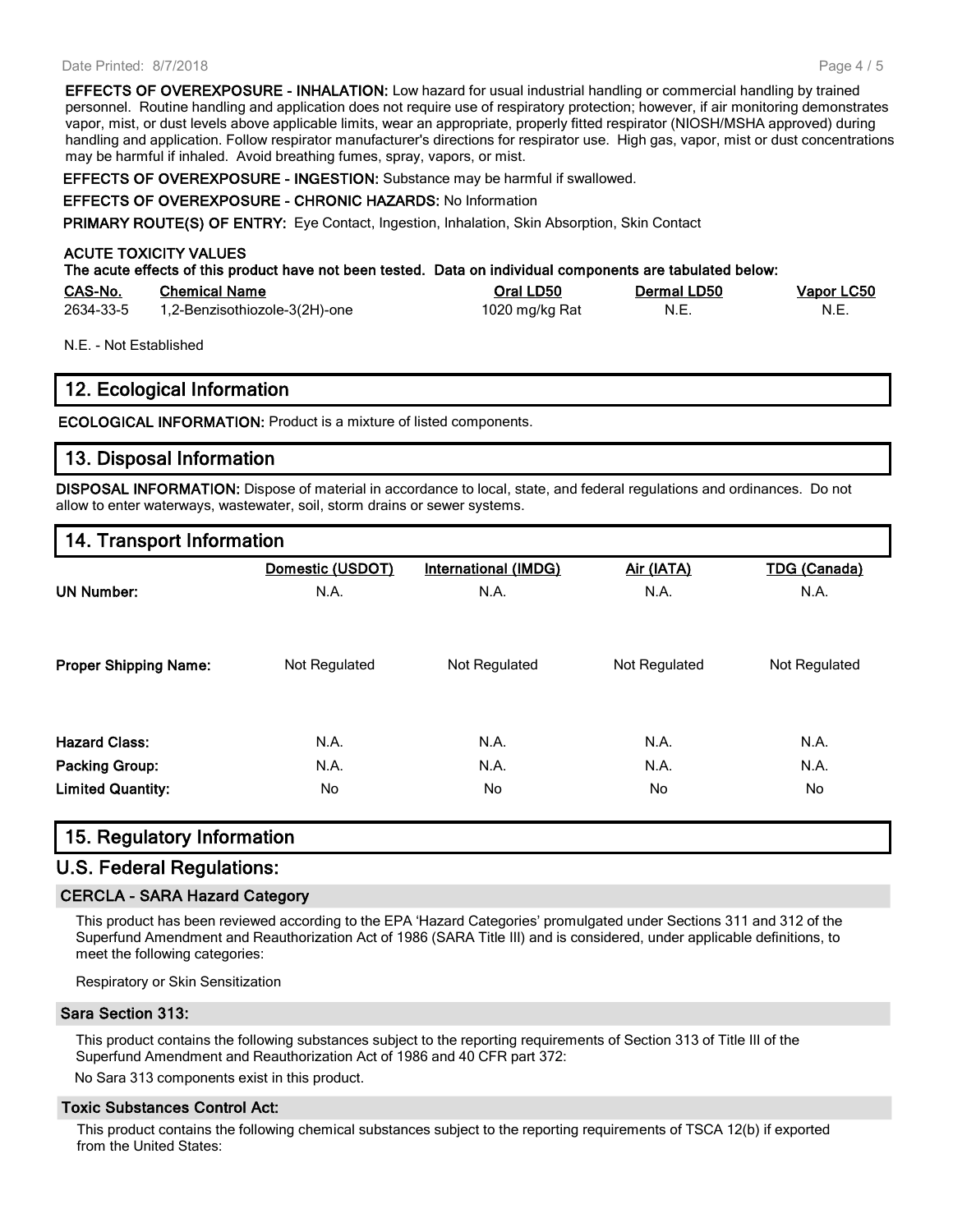#### Date Printed: 8/7/2018

**EFFECTS OF OVEREXPOSURE - INHALATION:** Low hazard for usual industrial handling or commercial handling by trained personnel. Routine handling and application does not require use of respiratory protection; however, if air monitoring demonstrates vapor, mist, or dust levels above applicable limits, wear an appropriate, properly fitted respirator (NIOSH/MSHA approved) during handling and application. Follow respirator manufacturer's directions for respirator use. High gas, vapor, mist or dust concentrations may be harmful if inhaled. Avoid breathing fumes, spray, vapors, or mist.

**EFFECTS OF OVEREXPOSURE - INGESTION:** Substance may be harmful if swallowed.

#### **EFFECTS OF OVEREXPOSURE - CHRONIC HAZARDS:** No Information

**PRIMARY ROUTE(S) OF ENTRY:** Eye Contact, Ingestion, Inhalation, Skin Absorption, Skin Contact

#### **ACUTE TOXICITY VALUES**

**The acute effects of this product have not been tested. Data on individual components are tabulated below:**

| CAS-No.   | <b>Chemical Name</b>          | Oral LD50      | Dermal LD50 | <u>Vapor LC50</u> |
|-----------|-------------------------------|----------------|-------------|-------------------|
| 2634-33-5 | 1,2-Benzisothiozole-3(2H)-one | 1020 mg/kg Rat | N.E         | - N.E.            |

N.E. - Not Established

#### **12. Ecological Information**

**ECOLOGICAL INFORMATION:** Product is a mixture of listed components.

#### **13. Disposal Information**

**DISPOSAL INFORMATION:** Dispose of material in accordance to local, state, and federal regulations and ordinances. Do not allow to enter waterways, wastewater, soil, storm drains or sewer systems.

#### **14. Transport Information**

|                              | Domestic (USDOT) | <b>International (IMDG)</b> | Air (IATA)    | <b>TDG (Canada)</b> |
|------------------------------|------------------|-----------------------------|---------------|---------------------|
| <b>UN Number:</b>            | N.A.             | N.A.                        | N.A.          | N.A.                |
| <b>Proper Shipping Name:</b> | Not Regulated    | Not Regulated               | Not Regulated | Not Regulated       |
| <b>Hazard Class:</b>         | N.A.             | N.A.                        | N.A.          | N.A.                |
| <b>Packing Group:</b>        | N.A.             | N.A.                        | N.A.          | N.A.                |
| <b>Limited Quantity:</b>     | No               | No.                         | No.           | No                  |

#### **15. Regulatory Information**

# **U.S. Federal Regulations:**

#### **CERCLA - SARA Hazard Category**

This product has been reviewed according to the EPA 'Hazard Categories' promulgated under Sections 311 and 312 of the Superfund Amendment and Reauthorization Act of 1986 (SARA Title III) and is considered, under applicable definitions, to meet the following categories:

Respiratory or Skin Sensitization

#### **Sara Section 313:**

This product contains the following substances subject to the reporting requirements of Section 313 of Title III of the Superfund Amendment and Reauthorization Act of 1986 and 40 CFR part 372:

No Sara 313 components exist in this product.

#### **Toxic Substances Control Act:**

This product contains the following chemical substances subject to the reporting requirements of TSCA 12(b) if exported from the United States: